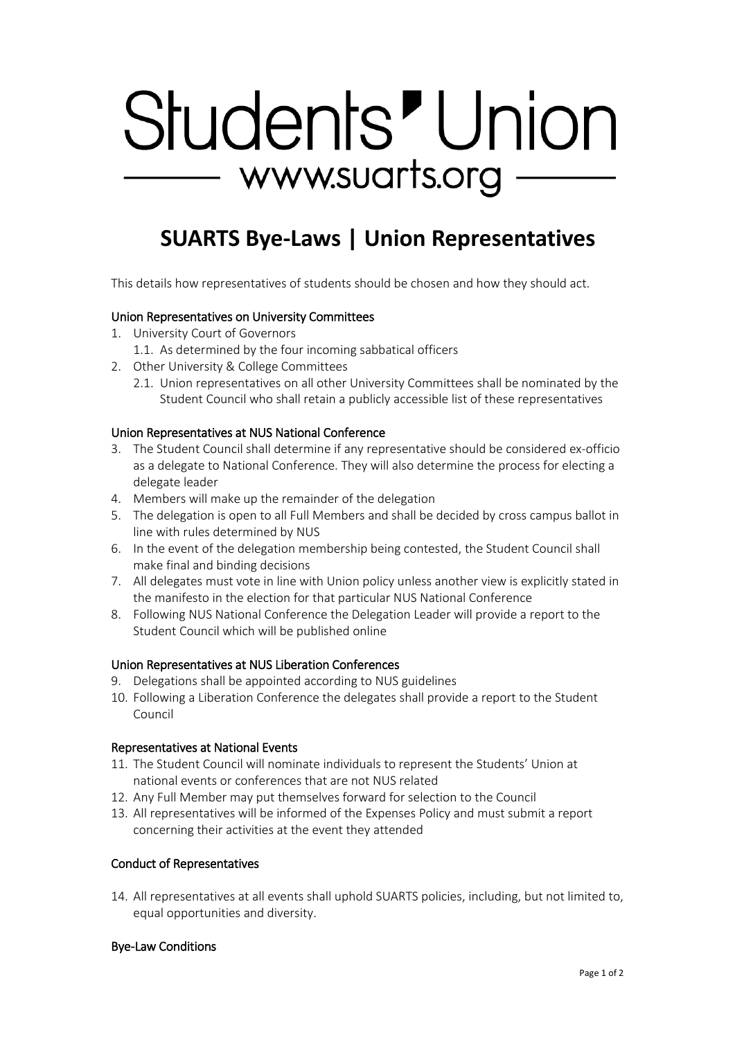# Students' Union - www.suarts.org

## **SUARTS Bye-Laws | Union Representatives**

This details how representatives of students should be chosen and how they should act.

### Union Representatives on University Committees

- 1. University Court of Governors
	- 1.1. As determined by the four incoming sabbatical officers
- 2. Other University & College Committees
	- 2.1. Union representatives on all other University Committees shall be nominated by the Student Council who shall retain a publicly accessible list of these representatives

#### Union Representatives at NUS National Conference

- 3. The Student Council shall determine if any representative should be considered ex-officio as a delegate to National Conference. They will also determine the process for electing a delegate leader
- 4. Members will make up the remainder of the delegation
- 5. The delegation is open to all Full Members and shall be decided by cross campus ballot in line with rules determined by NUS
- 6. In the event of the delegation membership being contested, the Student Council shall make final and binding decisions
- 7. All delegates must vote in line with Union policy unless another view is explicitly stated in the manifesto in the election for that particular NUS National Conference
- 8. Following NUS National Conference the Delegation Leader will provide a report to the Student Council which will be published online

#### Union Representatives at NUS Liberation Conferences

- 9. Delegations shall be appointed according to NUS guidelines
- 10. Following a Liberation Conference the delegates shall provide a report to the Student Council

#### Representatives at National Events

- 11. The Student Council will nominate individuals to represent the Students' Union at national events or conferences that are not NUS related
- 12. Any Full Member may put themselves forward for selection to the Council
- 13. All representatives will be informed of the Expenses Policy and must submit a report concerning their activities at the event they attended

#### Conduct of Representatives

14. All representatives at all events shall uphold SUARTS policies, including, but not limited to, equal opportunities and diversity.

#### Bye-Law Conditions